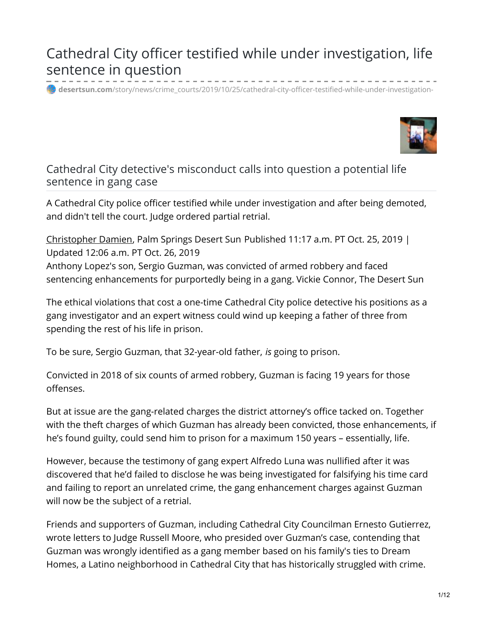# Cathedral City officer testified while under investigation, life sentence in question

**desertsun.com**[/story/news/crime\\_courts/2019/10/25/cathedral-city-officer-testified-while-under-investigation-](https://www.desertsun.com/story/news/crime_courts/2019/10/25/cathedral-city-officer-testified-while-under-investigation-life-sentence-question/3858086002/?fbclid=IwAR1FoWzAnjyqSfdBPHVWg5ugF8NGG_3FEwDFsx8-rcSUx1QymG0fic8Jm4M)



Cathedral City detective's misconduct calls into question a potential life sentence in gang case

A Cathedral City police officer testified while under investigation and after being demoted, and didn't tell the court. Judge ordered partial retrial.

[Christopher](http://www.desertsun.com/staff/cdamien/christopher-damien/) Damien, Palm Springs Desert Sun Published 11:17 a.m. PT Oct. 25, 2019 | Updated 12:06 a.m. PT Oct. 26, 2019 Anthony Lopez's son, Sergio Guzman, was convicted of armed robbery and faced sentencing enhancements for purportedly being in a gang. Vickie Connor, The Desert Sun

The ethical violations that cost a one-time Cathedral City police detective his positions as a gang investigator and an expert witness could wind up keeping a father of three from spending the rest of his life in prison.

To be sure, Sergio Guzman, that 32-year-old father, *is* going to prison.

Convicted in 2018 of six counts of armed robbery, Guzman is facing 19 years for those offenses.

But at issue are the gang-related charges the district attorney's office tacked on. Together with the theft charges of which Guzman has already been convicted, those enhancements, if he's found guilty, could send him to prison for a maximum 150 years – essentially, life.

However, because the testimony of gang expert Alfredo Luna was nullified after it was discovered that he'd failed to disclose he was being investigated for falsifying his time card and failing to report an unrelated crime, the gang enhancement charges against Guzman will now be the subject of a retrial.

Friends and supporters of Guzman, including Cathedral City Councilman Ernesto Gutierrez, wrote letters to Judge Russell Moore, who presided over Guzman's case, contending that Guzman was wrongly identified as a gang member based on his family's ties to Dream Homes, a Latino neighborhood in Cathedral City that has historically struggled with crime.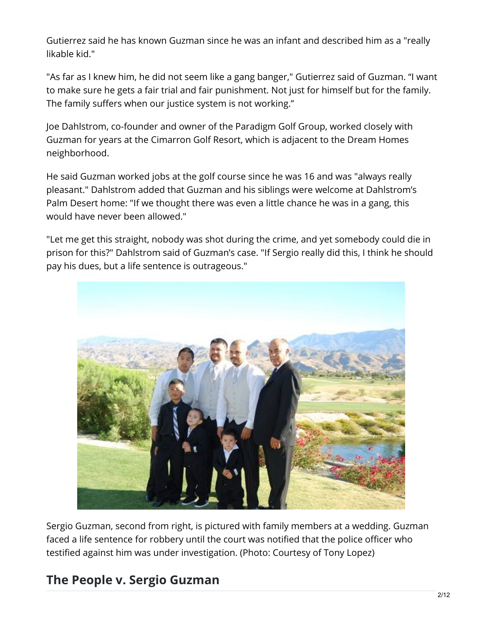Gutierrez said he has known Guzman since he was an infant and described him as a "really likable kid."

"As far as I knew him, he did not seem like a gang banger," Gutierrez said of Guzman. "I want to make sure he gets a fair trial and fair punishment. Not just for himself but for the family. The family suffers when our justice system is not working."

Joe Dahlstrom, co-founder and owner of the Paradigm Golf Group, worked closely with Guzman for years at the Cimarron Golf Resort, which is adjacent to the Dream Homes neighborhood.

He said Guzman worked jobs at the golf course since he was 16 and was "always really pleasant." Dahlstrom added that Guzman and his siblings were welcome at Dahlstrom's Palm Desert home: "If we thought there was even a little chance he was in a gang, this would have never been allowed."

"Let me get this straight, nobody was shot during the crime, and yet somebody could die in prison for this?" Dahlstrom said of Guzman's case. "If Sergio really did this, I think he should pay his dues, but a life sentence is outrageous."



Sergio Guzman, second from right, is pictured with family members at a wedding. Guzman faced a life sentence for robbery until the court was notified that the police officer who testified against him was under investigation. (Photo: Courtesy of Tony Lopez)

# **The People v. Sergio Guzman**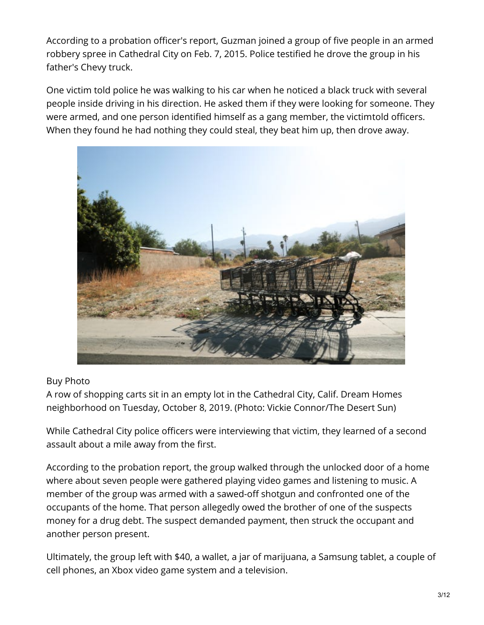According to a probation officer's report, Guzman joined a group of five people in an armed robbery spree in Cathedral City on Feb. 7, 2015. Police testified he drove the group in his father's Chevy truck.

One victim told police he was walking to his car when he noticed a black truck with several people inside driving in his direction. He asked them if they were looking for someone. They were armed, and one person identified himself as a gang member, the victimtold officers. When they found he had nothing they could steal, they beat him up, then drove away.



#### Buy Photo

A row of shopping carts sit in an empty lot in the Cathedral City, Calif. Dream Homes neighborhood on Tuesday, October 8, 2019. (Photo: Vickie Connor/The Desert Sun)

While Cathedral City police officers were interviewing that victim, they learned of a second assault about a mile away from the first.

According to the probation report, the group walked through the unlocked door of a home where about seven people were gathered playing video games and listening to music. A member of the group was armed with a sawed-off shotgun and confronted one of the occupants of the home. That person allegedly owed the brother of one of the suspects money for a drug debt. The suspect demanded payment, then struck the occupant and another person present.

Ultimately, the group left with \$40, a wallet, a jar of marijuana, a Samsung tablet, a couple of cell phones, an Xbox video game system and a television.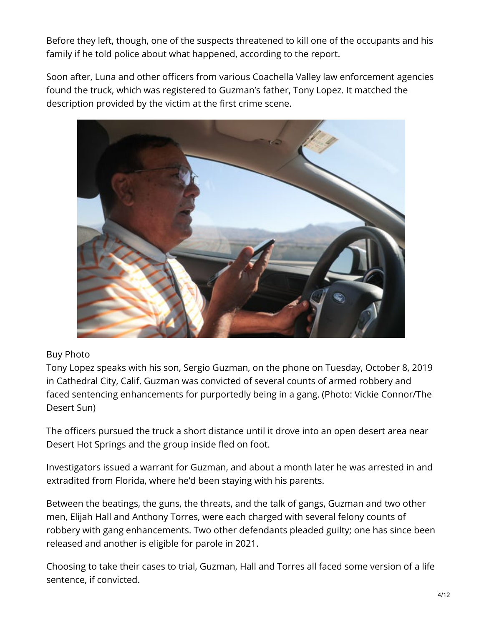Before they left, though, one of the suspects threatened to kill one of the occupants and his family if he told police about what happened, according to the report.

Soon after, Luna and other officers from various Coachella Valley law enforcement agencies found the truck, which was registered to Guzman's father, Tony Lopez. It matched the description provided by the victim at the first crime scene.



#### Buy Photo

Tony Lopez speaks with his son, Sergio Guzman, on the phone on Tuesday, October 8, 2019 in Cathedral City, Calif. Guzman was convicted of several counts of armed robbery and faced sentencing enhancements for purportedly being in a gang. (Photo: Vickie Connor/The Desert Sun)

The officers pursued the truck a short distance until it drove into an open desert area near Desert Hot Springs and the group inside fled on foot.

Investigators issued a warrant for Guzman, and about a month later he was arrested in and extradited from Florida, where he'd been staying with his parents.

Between the beatings, the guns, the threats, and the talk of gangs, Guzman and two other men, Elijah Hall and Anthony Torres, were each charged with several felony counts of robbery with gang enhancements. Two other defendants pleaded guilty; one has since been released and another is eligible for parole in 2021.

Choosing to take their cases to trial, Guzman, Hall and Torres all faced some version of a life sentence, if convicted.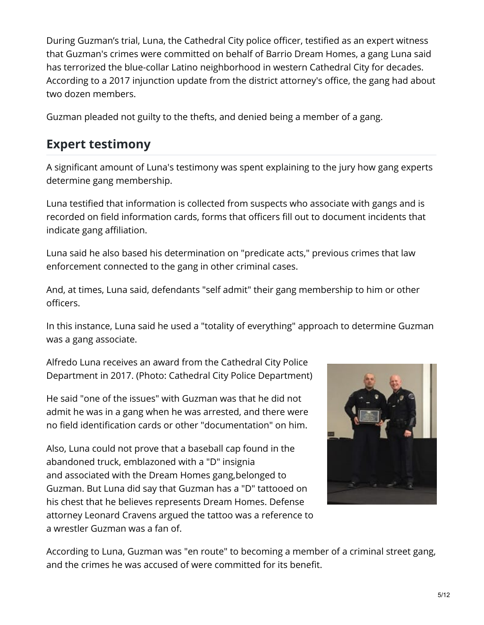During Guzman's trial, Luna, the Cathedral City police officer, testified as an expert witness that Guzman's crimes were committed on behalf of Barrio Dream Homes, a gang Luna said has terrorized the blue-collar Latino neighborhood in western Cathedral City for decades. According to a 2017 injunction update from the district attorney's office, the gang had about two dozen members.

Guzman pleaded not guilty to the thefts, and denied being a member of a gang.

# **Expert testimony**

A significant amount of Luna's testimony was spent explaining to the jury how gang experts determine gang membership.

Luna testified that information is collected from suspects who associate with gangs and is recorded on field information cards, forms that officers fill out to document incidents that indicate gang affiliation.

Luna said he also based his determination on "predicate acts," previous crimes that law enforcement connected to the gang in other criminal cases.

And, at times, Luna said, defendants "self admit" their gang membership to him or other officers.

In this instance, Luna said he used a "totality of everything" approach to determine Guzman was a gang associate.

Alfredo Luna receives an award from the Cathedral City Police Department in 2017. (Photo: Cathedral City Police Department)

He said "one of the issues" with Guzman was that he did not admit he was in a gang when he was arrested, and there were no field identification cards or other "documentation" on him.

Also, Luna could not prove that a baseball cap found in the abandoned truck, emblazoned with a "D" insignia and associated with the Dream Homes gang,belonged to Guzman. But Luna did say that Guzman has a "D" tattooed on his chest that he believes represents Dream Homes. Defense attorney Leonard Cravens argued the tattoo was a reference to a wrestler Guzman was a fan of.



According to Luna, Guzman was "en route" to becoming a member of a criminal street gang, and the crimes he was accused of were committed for its benefit.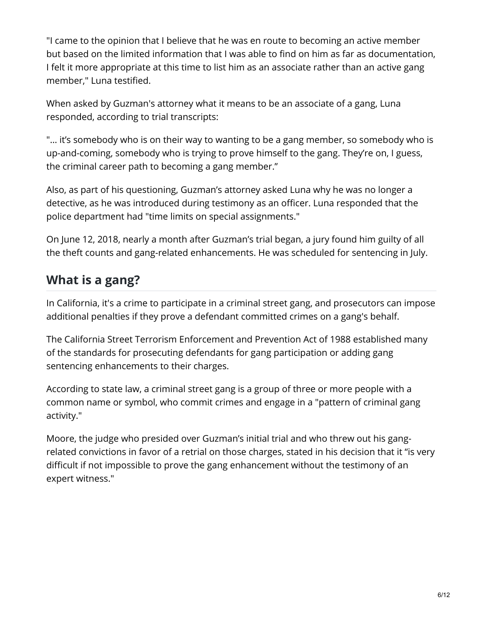"I came to the opinion that I believe that he was en route to becoming an active member but based on the limited information that I was able to find on him as far as documentation, I felt it more appropriate at this time to list him as an associate rather than an active gang member," Luna testified.

When asked by Guzman's attorney what it means to be an associate of a gang, Luna responded, according to trial transcripts:

"... it's somebody who is on their way to wanting to be a gang member, so somebody who is up-and-coming, somebody who is trying to prove himself to the gang. They're on, I guess, the criminal career path to becoming a gang member."

Also, as part of his questioning, Guzman's attorney asked Luna why he was no longer a detective, as he was introduced during testimony as an officer. Luna responded that the police department had "time limits on special assignments."

On June 12, 2018, nearly a month after Guzman's trial began, a jury found him guilty of all the theft counts and gang-related enhancements. He was scheduled for sentencing in July.

### **What is a gang?**

In California, it's a crime to participate in a criminal street gang, and prosecutors can impose additional penalties if they prove a defendant committed crimes on a gang's behalf.

The California Street Terrorism Enforcement and Prevention Act of 1988 established many of the standards for prosecuting defendants for gang participation or adding gang sentencing enhancements to their charges.

According to state law, a criminal street gang is a group of three or more people with a common name or symbol, who commit crimes and engage in a "pattern of criminal gang activity."

Moore, the judge who presided over Guzman's initial trial and who threw out his gangrelated convictions in favor of a retrial on those charges, stated in his decision that it "is very difficult if not impossible to prove the gang enhancement without the testimony of an expert witness."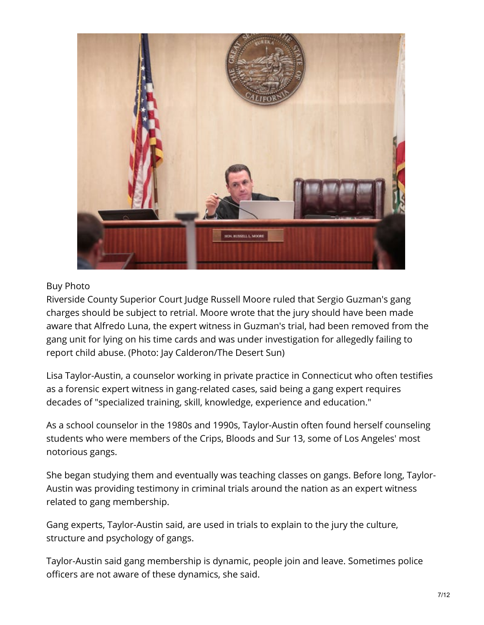

#### Buy Photo

Riverside County Superior Court Judge Russell Moore ruled that Sergio Guzman's gang charges should be subject to retrial. Moore wrote that the jury should have been made aware that Alfredo Luna, the expert witness in Guzman's trial, had been removed from the gang unit for lying on his time cards and was under investigation for allegedly failing to report child abuse. (Photo: Jay Calderon/The Desert Sun)

Lisa Taylor-Austin, a counselor working in private practice in Connecticut who often testifies as a forensic expert witness in gang-related cases, said being a gang expert requires decades of "specialized training, skill, knowledge, experience and education."

As a school counselor in the 1980s and 1990s, Taylor-Austin often found herself counseling students who were members of the Crips, Bloods and Sur 13, some of Los Angeles' most notorious gangs.

She began studying them and eventually was teaching classes on gangs. Before long, Taylor-Austin was providing testimony in criminal trials around the nation as an expert witness related to gang membership.

Gang experts, Taylor-Austin said, are used in trials to explain to the jury the culture, structure and psychology of gangs.

Taylor-Austin said gang membership is dynamic, people join and leave. Sometimes police officers are not aware of these dynamics, she said.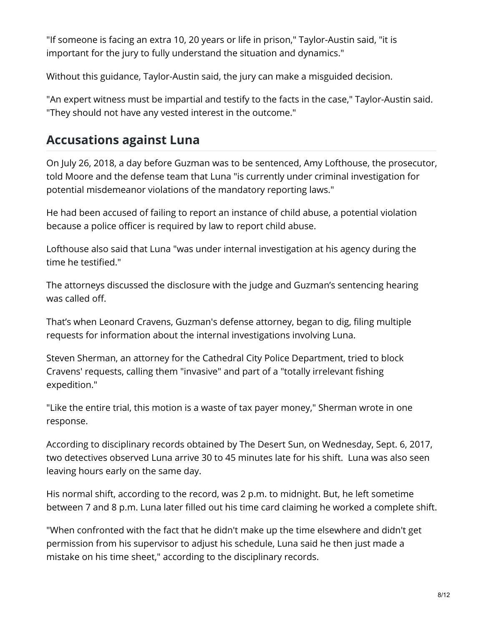"If someone is facing an extra 10, 20 years or life in prison," Taylor-Austin said, "it is important for the jury to fully understand the situation and dynamics."

Without this guidance, Taylor-Austin said, the jury can make a misguided decision.

"An expert witness must be impartial and testify to the facts in the case," Taylor-Austin said. "They should not have any vested interest in the outcome."

# **Accusations against Luna**

On July 26, 2018, a day before Guzman was to be sentenced, Amy Lofthouse, the prosecutor, told Moore and the defense team that Luna "is currently under criminal investigation for potential misdemeanor violations of the mandatory reporting laws."

He had been accused of failing to report an instance of child abuse, a potential violation because a police officer is required by law to report child abuse.

Lofthouse also said that Luna "was under internal investigation at his agency during the time he testified."

The attorneys discussed the disclosure with the judge and Guzman's sentencing hearing was called off.

That's when Leonard Cravens, Guzman's defense attorney, began to dig, filing multiple requests for information about the internal investigations involving Luna.

Steven Sherman, an attorney for the Cathedral City Police Department, tried to block Cravens' requests, calling them "invasive" and part of a "totally irrelevant fishing expedition."

"Like the entire trial, this motion is a waste of tax payer money," Sherman wrote in one response.

According to disciplinary records obtained by The Desert Sun, on Wednesday, Sept. 6, 2017, two detectives observed Luna arrive 30 to 45 minutes late for his shift. Luna was also seen leaving hours early on the same day.

His normal shift, according to the record, was 2 p.m. to midnight. But, he left sometime between 7 and 8 p.m. Luna later filled out his time card claiming he worked a complete shift.

"When confronted with the fact that he didn't make up the time elsewhere and didn't get permission from his supervisor to adjust his schedule, Luna said he then just made a mistake on his time sheet," according to the disciplinary records.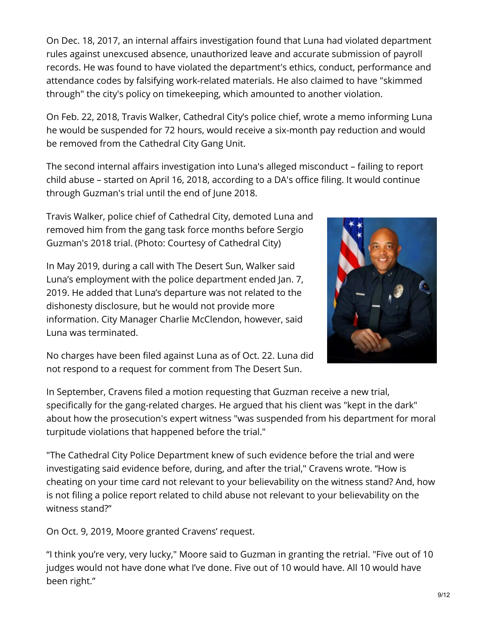On Dec. 18, 2017, an internal affairs investigation found that Luna had violated department rules against unexcused absence, unauthorized leave and accurate submission of payroll records. He was found to have violated the department's ethics, conduct, performance and attendance codes by falsifying work-related materials. He also claimed to have "skimmed through" the city's policy on timekeeping, which amounted to another violation.

On Feb. 22, 2018, Travis Walker, Cathedral City's police chief, wrote a memo informing Luna he would be suspended for 72 hours, would receive a six-month pay reduction and would be removed from the Cathedral City Gang Unit.

The second internal affairs investigation into Luna's alleged misconduct – failing to report child abuse – started on April 16, 2018, according to a DA's office filing. It would continue through Guzman's trial until the end of June 2018.

Travis Walker, police chief of Cathedral City, demoted Luna and removed him from the gang task force months before Sergio Guzman's 2018 trial. (Photo: Courtesy of Cathedral City)

In May 2019, during a call with The Desert Sun, Walker said Luna's employment with the police department ended Jan. 7, 2019. He added that Luna's departure was not related to the dishonesty disclosure, but he would not provide more information. City Manager Charlie McClendon, however, said Luna was terminated.



No charges have been filed against Luna as of Oct. 22. Luna did not respond to a request for comment from The Desert Sun.

In September, Cravens filed a motion requesting that Guzman receive a new trial, specifically for the gang-related charges. He argued that his client was "kept in the dark" about how the prosecution's expert witness "was suspended from his department for moral turpitude violations that happened before the trial."

"The Cathedral City Police Department knew of such evidence before the trial and were investigating said evidence before, during, and after the trial," Cravens wrote. "How is cheating on your time card not relevant to your believability on the witness stand? And, how is not filing a police report related to child abuse not relevant to your believability on the witness stand?"

On Oct. 9, 2019, Moore granted Cravens' request.

"I think you're very, very lucky," Moore said to Guzman in granting the retrial. "Five out of 10 judges would not have done what I've done. Five out of 10 would have. All 10 would have been right."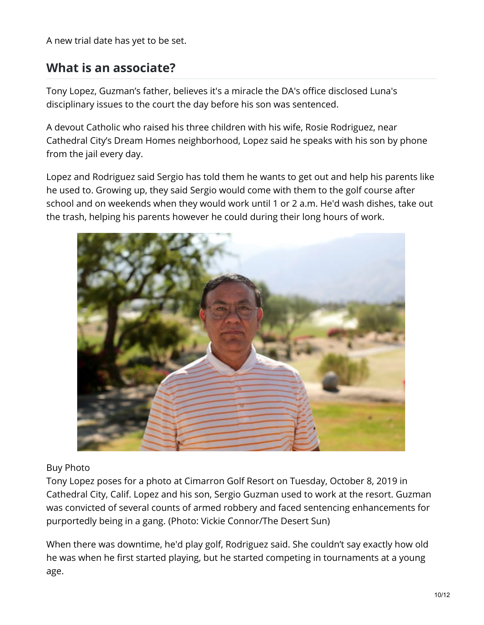A new trial date has yet to be set.

### **What is an associate?**

Tony Lopez, Guzman's father, believes it's a miracle the DA's office disclosed Luna's disciplinary issues to the court the day before his son was sentenced.

A devout Catholic who raised his three children with his wife, Rosie Rodriguez, near Cathedral City's Dream Homes neighborhood, Lopez said he speaks with his son by phone from the jail every day.

Lopez and Rodriguez said Sergio has told them he wants to get out and help his parents like he used to. Growing up, they said Sergio would come with them to the golf course after school and on weekends when they would work until 1 or 2 a.m. He'd wash dishes, take out the trash, helping his parents however he could during their long hours of work.



#### Buy Photo

Tony Lopez poses for a photo at Cimarron Golf Resort on Tuesday, October 8, 2019 in Cathedral City, Calif. Lopez and his son, Sergio Guzman used to work at the resort. Guzman was convicted of several counts of armed robbery and faced sentencing enhancements for purportedly being in a gang. (Photo: Vickie Connor/The Desert Sun)

When there was downtime, he'd play golf, Rodriguez said. She couldn't say exactly how old he was when he first started playing, but he started competing in tournaments at a young age.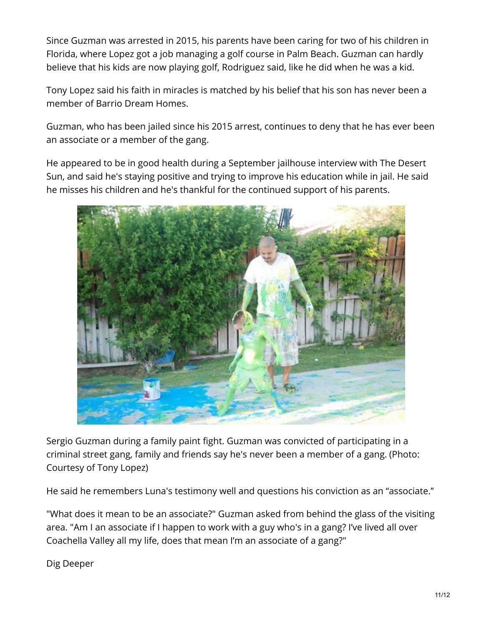Since Guzman was arrested in 2015, his parents have been caring for two of his children in Florida, where Lopez got a job managing a golf course in Palm Beach. Guzman can hardly believe that his kids are now playing golf, Rodriguez said, like he did when he was a kid.

Tony Lopez said his faith in miracles is matched by his belief that his son has never been a member of Barrio Dream Homes.

Guzman, who has been jailed since his 2015 arrest, continues to deny that he has ever been an associate or a member of the gang.

He appeared to be in good health during a September jailhouse interview with The Desert Sun, and said he's staying positive and trying to improve his education while in jail. He said he misses his children and he's thankful for the continued support of his parents.



Sergio Guzman during a family paint fight. Guzman was convicted of participating in a criminal street gang, family and friends say he's never been a member of a gang. (Photo: Courtesy of Tony Lopez)

He said he remembers Luna's testimony well and questions his conviction as an "associate."

"What does it mean to be an associate?" Guzman asked from behind the glass of the visiting area. "Am I an associate if I happen to work with a guy who's in a gang? I've lived all over Coachella Valley all my life, does that mean I'm an associate of a gang?"

Dig Deeper